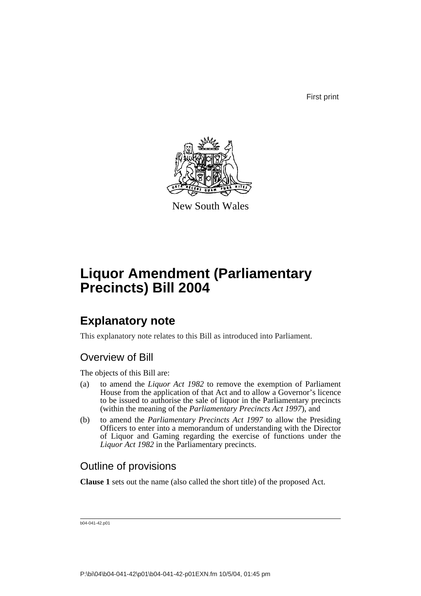First print



New South Wales

# **Liquor Amendment (Parliamentary Precincts) Bill 2004**

## **Explanatory note**

This explanatory note relates to this Bill as introduced into Parliament.

### Overview of Bill

The objects of this Bill are:

- (a) to amend the *Liquor Act 1982* to remove the exemption of Parliament House from the application of that Act and to allow a Governor's licence to be issued to authorise the sale of liquor in the Parliamentary precincts (within the meaning of the *Parliamentary Precincts Act 1997*), and
- (b) to amend the *Parliamentary Precincts Act 1997* to allow the Presiding Officers to enter into a memorandum of understanding with the Director of Liquor and Gaming regarding the exercise of functions under the *Liquor Act 1982* in the Parliamentary precincts.

### Outline of provisions

**Clause 1** sets out the name (also called the short title) of the proposed Act.

b04-041-42.p01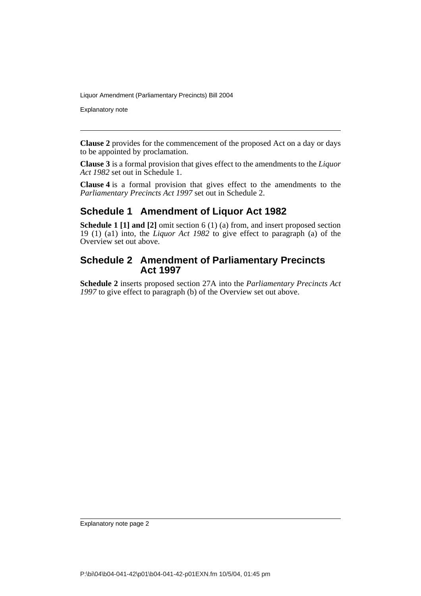Explanatory note

**Clause 2** provides for the commencement of the proposed Act on a day or days to be appointed by proclamation.

**Clause 3** is a formal provision that gives effect to the amendments to the *Liquor Act 1982* set out in Schedule 1.

**Clause 4** is a formal provision that gives effect to the amendments to the *Parliamentary Precincts Act 1997* set out in Schedule 2.

### **Schedule 1 Amendment of Liquor Act 1982**

**Schedule 1 [1] and [2]** omit section 6 (1) (a) from, and insert proposed section 19 (1) (a1) into, the *Liquor Act 1982* to give effect to paragraph (a) of the Overview set out above.

### **Schedule 2 Amendment of Parliamentary Precincts Act 1997**

**Schedule 2** inserts proposed section 27A into the *Parliamentary Precincts Act 1997* to give effect to paragraph (b) of the Overview set out above.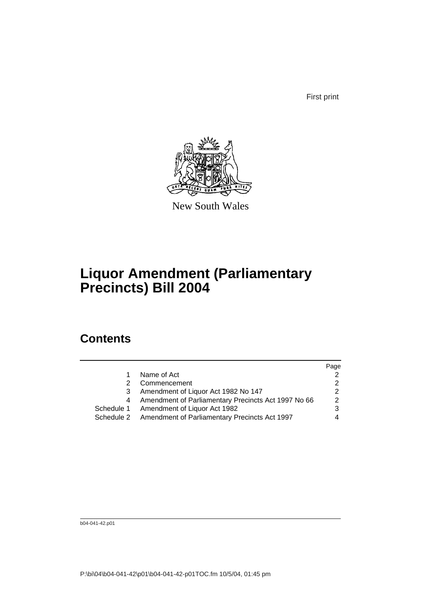First print



New South Wales

## **Liquor Amendment (Parliamentary Precincts) Bill 2004**

## **Contents**

|                                                          | Page |
|----------------------------------------------------------|------|
| Name of Act                                              |      |
| Commencement                                             |      |
| Amendment of Liquor Act 1982 No 147                      |      |
| Amendment of Parliamentary Precincts Act 1997 No 66      | 2    |
| Schedule 1 Amendment of Liquor Act 1982                  | 3    |
| Schedule 2 Amendment of Parliamentary Precincts Act 1997 |      |
|                                                          |      |

b04-041-42.p01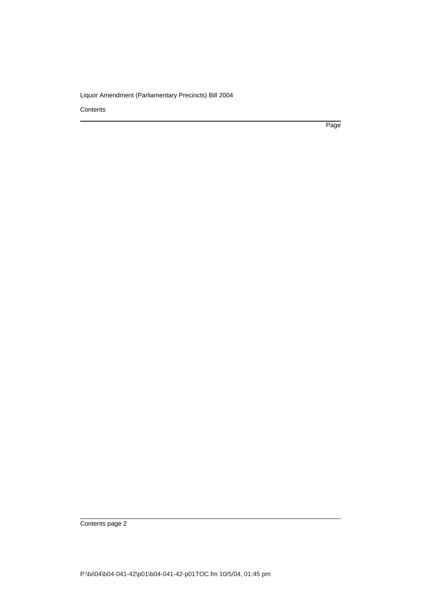**Contents** 

Page

Contents page 2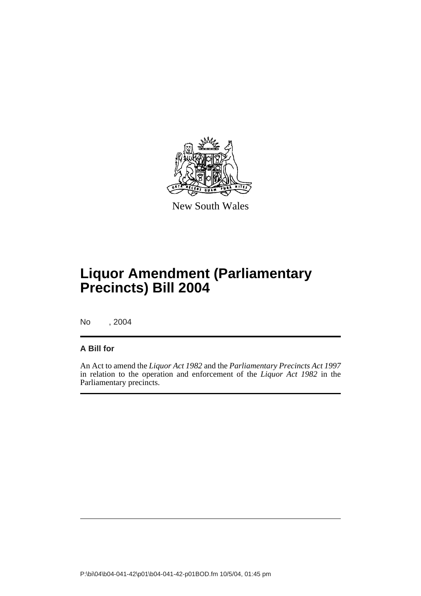

New South Wales

# **Liquor Amendment (Parliamentary Precincts) Bill 2004**

No , 2004

### **A Bill for**

An Act to amend the *Liquor Act 1982* and the *Parliamentary Precincts Act 1997* in relation to the operation and enforcement of the *Liquor Act 1982* in the Parliamentary precincts.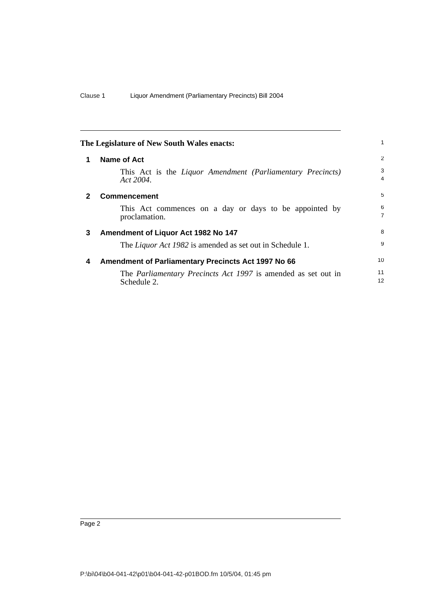<span id="page-5-3"></span><span id="page-5-2"></span><span id="page-5-1"></span><span id="page-5-0"></span>

| The Legislature of New South Wales enacts: |                                                                                     |                     |
|--------------------------------------------|-------------------------------------------------------------------------------------|---------------------|
| 1                                          | Name of Act                                                                         | $\overline{2}$      |
|                                            | This Act is the Liquor Amendment (Parliamentary Precincts)<br>$Act\,2004$ .         | 3<br>$\overline{4}$ |
| $\mathbf{2}$                               | <b>Commencement</b>                                                                 | 5                   |
|                                            | This Act commences on a day or days to be appointed by<br>proclamation.             | 6<br>$\overline{7}$ |
| 3                                          | Amendment of Liquor Act 1982 No 147                                                 | 8                   |
|                                            | The <i>Liquor Act 1982</i> is amended as set out in Schedule 1.                     | 9                   |
| 4                                          | Amendment of Parliamentary Precincts Act 1997 No 66                                 | 10                  |
|                                            | The <i>Parliamentary Precincts Act 1997</i> is amended as set out in<br>Schedule 2. | 11<br>12            |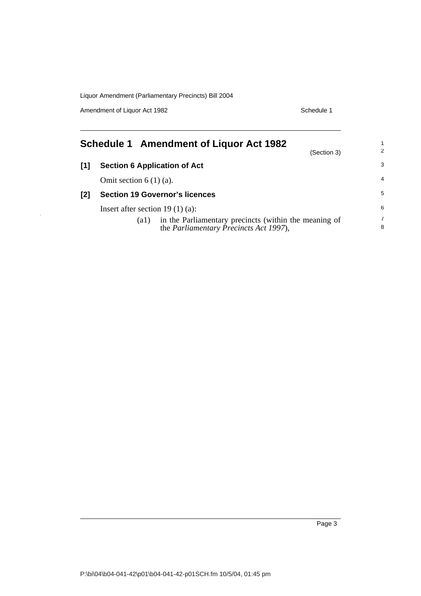Amendment of Liquor Act 1982 Schedule 1

<span id="page-6-0"></span>

|     | <b>Schedule 1 Amendment of Liquor Act 1982</b><br>(Section 3)                                                   | 2      |
|-----|-----------------------------------------------------------------------------------------------------------------|--------|
| [1] | <b>Section 6 Application of Act</b>                                                                             | 3      |
|     | Omit section $6(1)(a)$ .                                                                                        | 4      |
| [2] | <b>Section 19 Governor's licences</b>                                                                           | 5      |
|     | Insert after section 19 $(1)$ $(a)$ :                                                                           | 6      |
|     | in the Parliamentary precincts (within the meaning of<br>(al)<br>the <i>Parliamentary Precincts Act 1997</i> ), | 7<br>8 |